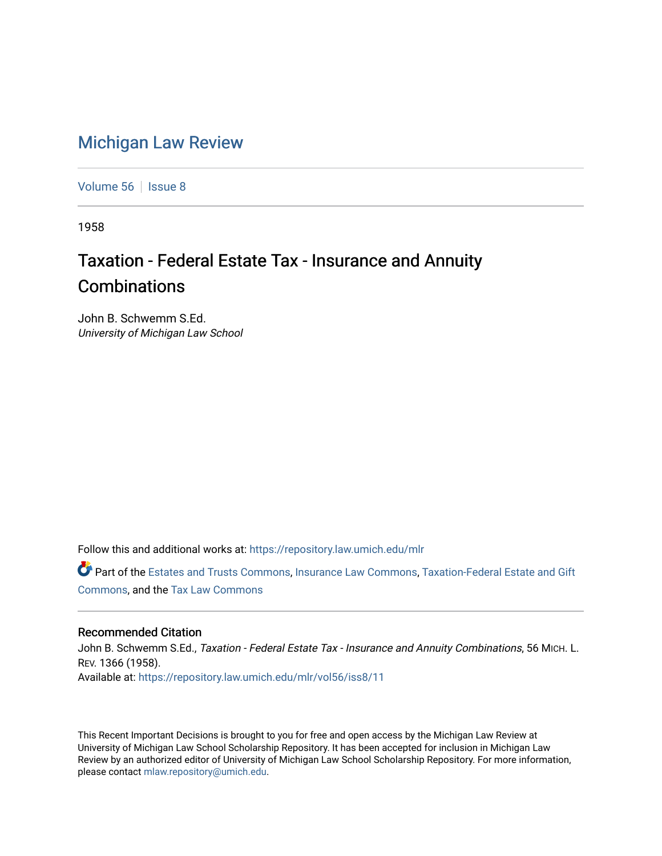## [Michigan Law Review](https://repository.law.umich.edu/mlr)

[Volume 56](https://repository.law.umich.edu/mlr/vol56) | [Issue 8](https://repository.law.umich.edu/mlr/vol56/iss8)

1958

## Taxation - Federal Estate Tax - Insurance and Annuity **Combinations**

John B. Schwemm S.Ed. University of Michigan Law School

Follow this and additional works at: [https://repository.law.umich.edu/mlr](https://repository.law.umich.edu/mlr?utm_source=repository.law.umich.edu%2Fmlr%2Fvol56%2Fiss8%2F11&utm_medium=PDF&utm_campaign=PDFCoverPages) 

Part of the [Estates and Trusts Commons,](http://network.bepress.com/hgg/discipline/906?utm_source=repository.law.umich.edu%2Fmlr%2Fvol56%2Fiss8%2F11&utm_medium=PDF&utm_campaign=PDFCoverPages) [Insurance Law Commons](http://network.bepress.com/hgg/discipline/607?utm_source=repository.law.umich.edu%2Fmlr%2Fvol56%2Fiss8%2F11&utm_medium=PDF&utm_campaign=PDFCoverPages), [Taxation-Federal Estate and Gift](http://network.bepress.com/hgg/discipline/880?utm_source=repository.law.umich.edu%2Fmlr%2Fvol56%2Fiss8%2F11&utm_medium=PDF&utm_campaign=PDFCoverPages) [Commons](http://network.bepress.com/hgg/discipline/880?utm_source=repository.law.umich.edu%2Fmlr%2Fvol56%2Fiss8%2F11&utm_medium=PDF&utm_campaign=PDFCoverPages), and the [Tax Law Commons](http://network.bepress.com/hgg/discipline/898?utm_source=repository.law.umich.edu%2Fmlr%2Fvol56%2Fiss8%2F11&utm_medium=PDF&utm_campaign=PDFCoverPages)

## Recommended Citation

John B. Schwemm S.Ed., Taxation - Federal Estate Tax - Insurance and Annuity Combinations, 56 MICH. L. REV. 1366 (1958). Available at: [https://repository.law.umich.edu/mlr/vol56/iss8/11](https://repository.law.umich.edu/mlr/vol56/iss8/11?utm_source=repository.law.umich.edu%2Fmlr%2Fvol56%2Fiss8%2F11&utm_medium=PDF&utm_campaign=PDFCoverPages) 

This Recent Important Decisions is brought to you for free and open access by the Michigan Law Review at University of Michigan Law School Scholarship Repository. It has been accepted for inclusion in Michigan Law Review by an authorized editor of University of Michigan Law School Scholarship Repository. For more information, please contact [mlaw.repository@umich.edu.](mailto:mlaw.repository@umich.edu)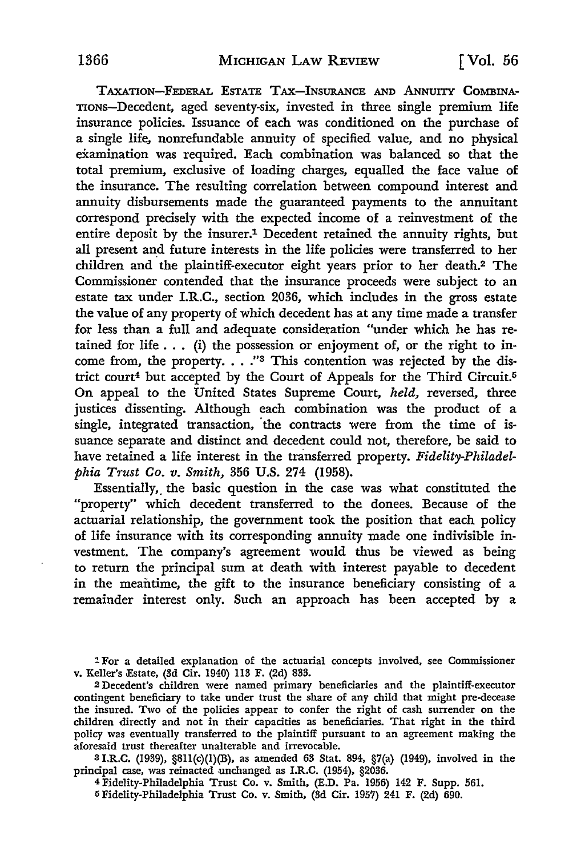TAXATION-FEDERAL ESTATE TAX-INSURANCE AND ANNUITY COMBINA-TIONS-Decedent, aged seventy-six, invested in three single premium life insurance policies. Issuance of each was conditioned on the purchase of a single life, nonrefundable annuity of specified value, and no physical examination was required. Each combination was balanced so that the total premium, exclusive of loading charges, equalled the face value of the insurance. The resulting correlation between compound interest and annuity disbursements made the guaranteed payments to the annuitant correspond precisely with the expected income of a reinvestment of the entire deposit by the insurer.1 Decedent retained the annuity rights, but all present and future interests in the life policies were transferred to her children and the plaintiff-executor eight years prior to her death.2 The Commissioner contended that the insurance proceeds were subject to an estate tax under I.R.C., section 2036, which includes in the gross estate the value of any property of which decedent has at any time made a transfer for less than a full and adequate consideration "under which he has retained for life  $\dots$  (i) the possession or enjoyment of, or the right to income from, the property. . . . "3 This contention was rejected by the district court<sup>4</sup> but accepted by the Court of Appeals for the Third Circuit.<sup>5</sup> On appeal to the United States Supreme Court, *held,* reversed, three justices dissenting. Although each combination was the product of a single, integrated transaction, the contracts were from the time of issuance separate and distinct and decedent could not, therefore, be said to have retained a life interest in the transferred property. *Fidelity-Philadelphia Trust Co. v. Smith,* 356 U.S. 274 (1958).

Essentially, the basic question in the case was what constituted the "property" which decedent transferred to the donees. Because of the actuarial relationship, the government took the position that each policy of life insurance with its corresponding annuity made one indivisible investment. The company's agreement would thus be viewed as being to return the principal sum at death with interest payable to decedent in the meantime, the gift to the insurance beneficiary consisting of a remainder interest only. Such an approach has been accepted by a

:! For a detailed explanation of the actuarial concepts involved, see Commissioner v. Keller's Estate, (3d Cir. 1940) 113 F. (2d) 833.

2 Decedent's children were named primary beneficiaries and the plaintiff-executor contingent beneficiary to take under trust the share of any child that might pre-decease the insured. Two of the policies appear to confer the right of cash surrender on the children directly and not in their capacities as beneficiaries. That right in the third policy was eventually transferred to the plaintiff pursuant to an agreement making the aforesaid trust thereafter unalterable and irrevocable.

<sup>3</sup>I.R.C. (1939), §811(c)(l)(B), as amended 63 Stat. 894, §7(a) (1949), involved in the principal case, was reinacted unchanged as I.R.C. (1954), §2036.

<sup>4</sup>Fidelity-Philadelphia Trust Co. v. Smith, (E.D. Pa. 1956) 142 F. Supp. 561.

5 Fidelity-Philadelphia Trust Co. v. Smith, (3d Cir. 1957) 241 F. (2d) 690.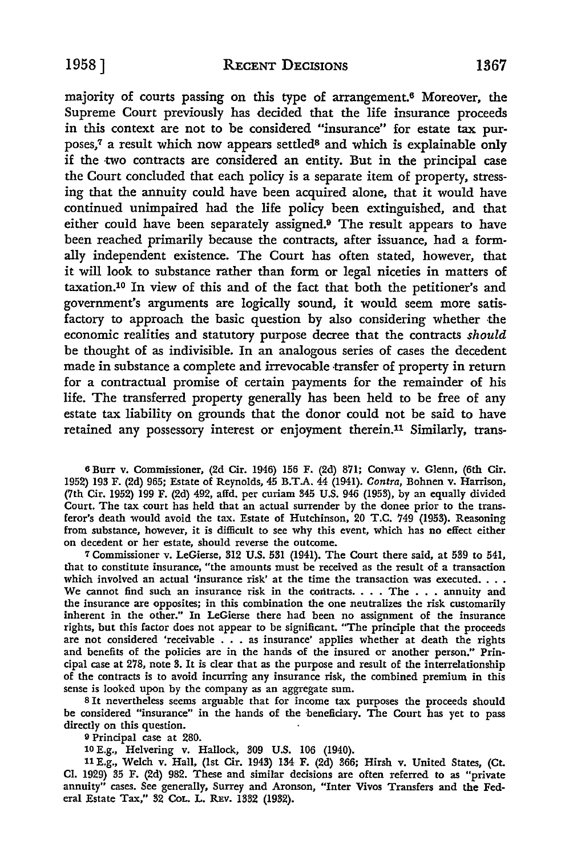majority of courts passing on this type of arrangement.6 Moreover, the Supreme Court previously has decided that the life insurance proceeds in this context are not to be considered "insurance" for estate tax purposes,<sup>7</sup> a result which now appears settled<sup>8</sup> and which is explainable only if the •two contracts are considered an entity. But in the principal case the Court concluded that each policy is a separate item of property, stressing that the annuity could have been acquired alone, that it would have continued unimpaired had the life policy been extinguished, and that either could have been separately assigned.9 The result appears to have been reached primarily because the contracts, after issuance, had a formally independent existence. The Court has often stated, however, that it will look to substance rather than form or legal niceties in matters of taxation.10 In view of this and of the fact that both the petitioner's and government's arguments are logically sound, it would seem more satisfactory to approach the basic question by also considering whether the economic realities and statutory purpose decree that the contracts *should*  be thought of as indivisible. In an analogous series of cases the decedent made in substance a complete and irrevocable transfer of property in return for a contractual promise of certain payments for the remainder of his life. The transferred property generally has been held to be free of any estate tax liability on grounds that the donor could not be said to have retained any possessory interest or enjoyment therein.11 Similarly, trans-

<sup>6</sup>Burr v. Commissioner, (2d Cir. 1946) 156 F. (2d) 871; Conway v. Glenn, (6th Cir. 1952) 193 F. (2d) 965; Estate of Reynolds, 45 B.T.A. 44 (1941). Contra, Bohnen v. Harrison, (7th Cir. 1952) 199 F. (2d) 492, affd. per curiam 345 U.S. 946 (1953), by an equally divided Court. The tax court has held that an actual surrender by the donee prior to the transferor's death would avoid the tax. Estate of Hutchinson, 20 T.C. 749 (1953). Reasoning from substance, however, it is difficult to see why this event, which has no effect either on decedent or her estate, should reverse the outcome.

<sup>7</sup>Commissioner v. LeGierse, 312 U.S. 531 (1941). The Court there said, at 539 to 541, that to constitute insurance, "the amounts must be received as the result of a transaction which involved an actual 'insurance risk' at the time the transaction was executed... We cannot find such an insurance risk in the contracts.  $\ldots$  The  $\ldots$  annuity and the insurance are opposites; in this combination the one neutralizes the risk customarily inherent in the other." In LeGierse there had been no assignment of the insurance rights, but this factor does not appear to be significant. "The principle that the proceeds are not considered 'receivable . . . as insurance' applies whether at death the rights and benefits of the policies are in the hands of the insured or another person." Principal case at 278, note 3. It is clear that as the purpose and result of the interrelationship of the contracts is to avoid incurring any insurance risk, the combined premium in this sense is looked upon by the company as an aggregate sum.

8 It nevertheless seems arguable that for income tax purposes the proceeds should be considered "insurance" in the hands of the beneficiary. The Court has yet to pass directly on this question.

<sup>9</sup>Principal case at 280.

10 E.g., Helvering v. Hallock, 309 U.S. 106 (1940).

11 E.g., Welch v. Hall, (1st Cir. 1943) 134 F. (2d) 366; Hirsh v. United States, (Ct. CI. 1929) 35 F. (2d) 982. These and similar decisions are often referred to as "private annuity" cases. See generally, Surrey and Aronson, "Inter Vivos Transfers and the Federal Estate Tax," 32 CoL. L. REv. 1332 (1932).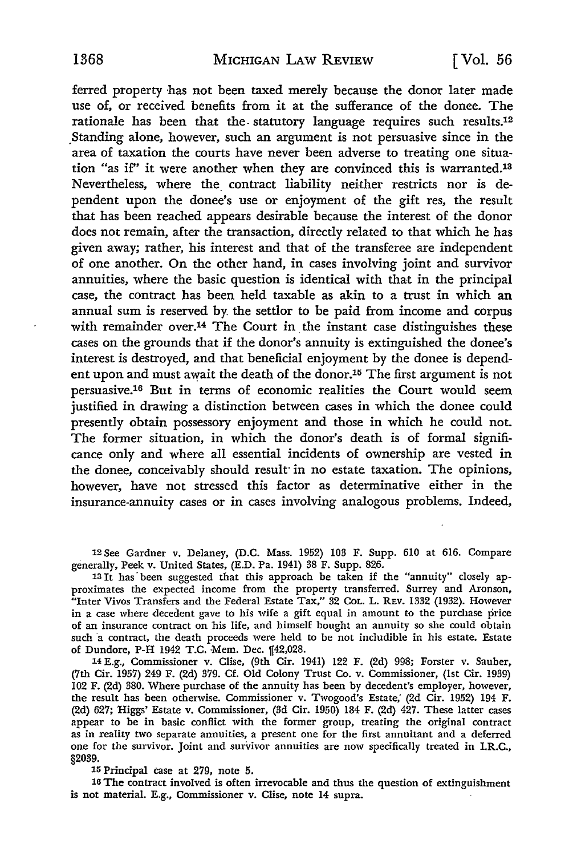£erred property ·has not been taxed merely because the donor later made use of, or received benefits from it at the sufferance of the donee. The rationale has been that the statutory language requires such results.12 \_Standing alone, however, such an argument is not persuasive since in the area of taxation the courts have never been adverse to treating one situation "as if' it were another when they are convinced this is warranted.13 Nevertheless, where the\_ contract liability neither restricts nor is dependent upon the donee's use or enjoyment of the gift res, the result that has been reached appears desirable because the interest of the donor does not remain, after the transaction, directly related to that which he has given away; rather, his interest and that of the transferee are independent of one another. On the other hand, in cases involving joint and survivor annuities, where the basic question is identical with that in the principal case, the contract has been held taxable as akin to a trust in which an annual sum is reserved by, the settlor to be paid from income and corpus with remainder over.<sup>14</sup> The Court in the instant case distinguishes these cases on the grounds that if the donor's annuity is extinguished the donee's interest is destroyed, and that beneficial enjoyment by the donee is dependent upon and must await the death of the donor.<sup>15</sup> The first argument is not persuasive.16 But in terms of economic realities the Court would seem justified in drawing a distinction between cases in which the donee could presently obtain possessory enjoyment and those in which he could not. The former situation, in which the donor's death is of formal significance only and where all essential incidents of ownership are vested in the donee, conceivably should result· in no estate taxation. The opinions, however, have not stressed this factor as determinative either in the insurance-annuity cases or in cases involving analogous problems. Indeed,

12 See Gardner v. Delaney, (D.C. Mass. 1952) 103 F. Supp. 610 at 616. Compare generally, Peek v. United States, (E.D. Pa. 1941) 38 F. Supp. 826.

13 It has· been suggested that this approach be taken if the "annuity" closely approximates the expected income from the property transferred. Surrey and Aronson, "Inter Vivos Transfers and the Federal Estate Tax," 32 CoL. L. REV. 1332 (1932). However in a case where decedent gave to his wife a gift equal in amount to the purchase price of an insurance contract on his life, and himself bought an annuity so she could obtain such a contract, the death proceeds were held to be not includible in his estate. Estate of Dundore, P-H 1942 T.C. Mem. Dec. [42,028.

14 E.g., Commissioner v. Clise, (9th Cir. 1941) 122 F. (2d) 998; Forster v. Sauber, (7th Cir. 1957) 249 F. (2d) 379. Cf. Old Colony Trust Co. v. Commissioner, (1st Cir. 1939) 102 F. (2d) 380. Where purchase of the annuity has been by decedent's employer, however, the result has been otherwise. Commissioner v. Twogood's Estate; (2d Cir. 1952) 194 F. (2d) 627; Higgs' Estate v. Commissioner, (3d Cir. 1950) 184 F. (2d) 427. These latter cases appear to be in basic conflict with the former group, treating the original contract as in reality two separate annuities, a present one for the first annuitant and a deferred one for the survivor. Joint and survivor annuities are now specifically treated in I.R.C., §2039.

15 Principal case at 279, note 5.

16 The contract involved is often irrevocable and thus the question of extinguishment is not material. E.g., Commissioner v. Clise, note 14 supra.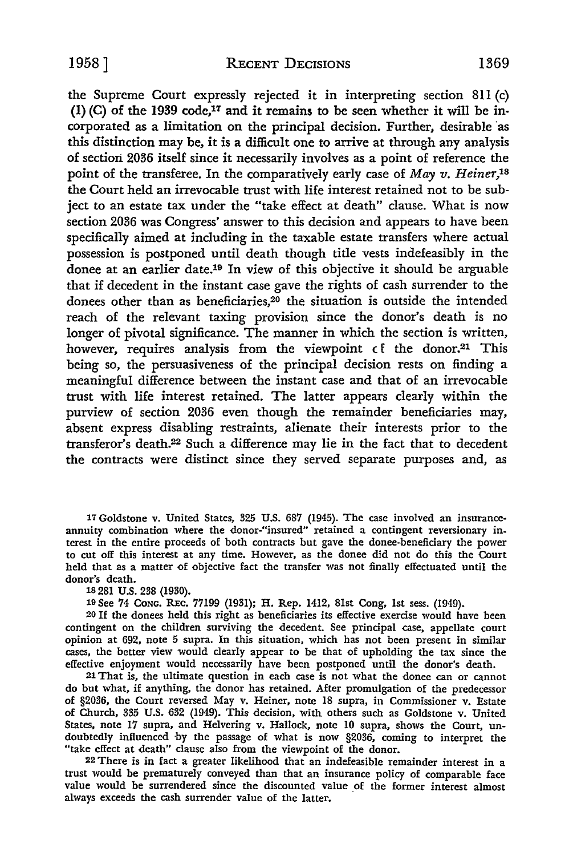the Supreme Court expressly rejected it in interpreting section 811 (c) (1) (C) of the 1939 code,<sup>17</sup> and it remains to be seen whether it will be incorporated as a limitation on the principal decision. Further, desirable ·as this distinction may be, it is a difficult one to arrive at through any analysis of section 2036 itself since it necessarily involves as a point of reference the point of the transferee. In the comparatively early case of *May v. Heiner,18*  the Court held an irrevocable trust with life interest retained not to be subject to an estate tax under the "take effect at death" clause. What is now section 2036 was Congress' answer to this decision and appears to have been specifically aimed at including in the taxable estate transfers where actual possession is postponed until death though title vests indefeasibly in the donee at an earlier date.19 In view of this objective it should be arguable that if decedent in the instant case gave the rights of cash surrender to the donees other than as beneficiaries,20 the situation *is* outside the intended reach of the relevant taxing provision since the donor's death is no longer of pivotal significance. The manner in which the section is written, however, requires analysis from the viewpoint  $\epsilon$ <sup>E</sup> the donor.<sup>21</sup> This being so, the persuasiveness of the principal decision rests on finding a meaningful difference between the instant case and that of an irrevocable trust with life interest retained. The latter appears clearly within the purview of section 2036 even though the remainder beneficiaries may, absent express disabling restraints, alienate their interests prior to the transferor's death.22 Such a difference may lie in the fact that to decedent the contracts were distinct since they served separate purposes and, as

17 Goldstone v. United States, 325 U.S. 687 (1945). The case involved an insuranceannuity combination where the donor-"insured" retained a contingent reversionary in. terest in the entire proceeds of both contracts but gave the donee-beneficiary the power to cut off this interest at any time. However, as the donee did not do this the Court held that as a matter of objective fact the transfer was not finally effectuated until the donor's death.

1s 281 U.S. 238 (1930).

19 See 74 CoNG. REc. 77199 (1931); H. Rep. 1412, 81st Cong, 1st sess. (1949).

20 If the donees held this right as beneficiaries its effective exercise would have been contingent on the children surviving the decedent. See principal case, appellate court opinion at 692, note 5 supra. In this situation, which has not been present in similar cases, the better view would clearly appear to be that of upholding the tax since the effective enjoyment would necessarily have been postponed until the donor's death.

21 That is, the ultimate question in each case is not what the donee can or cannot do but what, if anything, the donor has retained. After promulgation of the predecessor of §2036, the Court reversed May v. Heiner, note 18 supra, in Commissioner v. Estate of Church, 335 U.S. 632 (1949). This decision, with others such as Goldstone v. United States, note 17 supra, and Helvering v. Hallock, note 10 supra, shows the Court, undoubtedly influenced by the passage of what is now §2036, coming to interpret the "take effect at death" clause also from the viewpoint of the donor.

22 There is in fact a greater likelihood that an indefeasible remainder interest in a trust would be prematurely conveyed than that an insurance policy of comparable face value would be surrendered since the discounted value of the former interest almost always exceeds the cash surrender value of the latter.